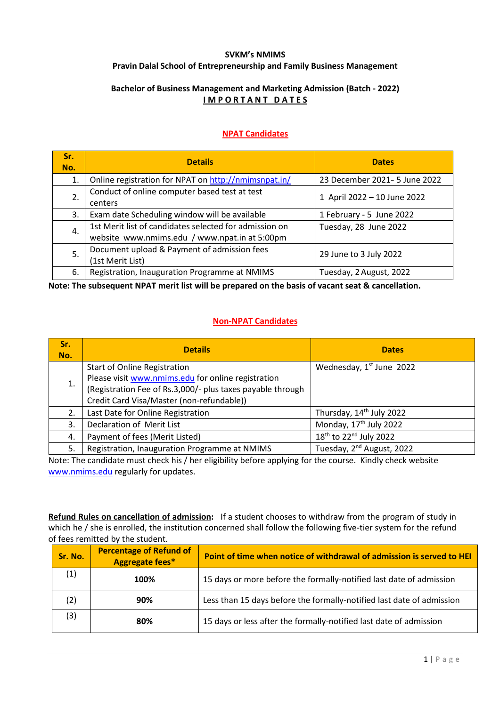## **SVKM's NMIMS Pravin Dalal School of Entrepreneurship and Family Business Management**

## **Bachelor of Business Management and Marketing Admission (Batch - 2022) I M P O R T A N T D A T E S**

## **NPAT Candidates**

| Sr.<br>No. | <b>Details</b>                                                                                                                   | <b>Dates</b>                  |
|------------|----------------------------------------------------------------------------------------------------------------------------------|-------------------------------|
| 1.         | Online registration for NPAT on http://nmimsnpat.in/                                                                             | 23 December 2021- 5 June 2022 |
| 2.         | Conduct of online computer based test at test<br>centers                                                                         | 1 April 2022 - 10 June 2022   |
| 3.         | Exam date Scheduling window will be available                                                                                    | 1 February - 5 June 2022      |
| 4.         | 1st Merit list of candidates selected for admission on<br>Tuesday, 28 June 2022<br>website www.nmims.edu / www.npat.in at 5:00pm |                               |
| 5.         | Document upload & Payment of admission fees<br>(1st Merit List)                                                                  | 29 June to 3 July 2022        |
| 6.         | Registration, Inauguration Programme at NMIMS                                                                                    | Tuesday, 2 August, 2022       |

**Note: The subsequent NPAT merit list will be prepared on the basis of vacant seat & cancellation.**

## **Non-NPAT Candidates**

| Sr.<br>No. | <b>Details</b>                                             | <b>Dates</b>                                   |
|------------|------------------------------------------------------------|------------------------------------------------|
|            | <b>Start of Online Registration</b>                        | Wednesday, $1st$ June 2022                     |
| 1.         | Please visit www.nmims.edu for online registration         |                                                |
|            | (Registration Fee of Rs.3,000/- plus taxes payable through |                                                |
|            | Credit Card Visa/Master (non-refundable))                  |                                                |
| 2.         | Last Date for Online Registration                          | Thursday, 14 <sup>th</sup> July 2022           |
| 3.         | Declaration of Merit List                                  | Monday, 17 <sup>th</sup> July 2022             |
| 4.         | Payment of fees (Merit Listed)                             | 18 <sup>th</sup> to 22 <sup>nd</sup> July 2022 |
| 5.         | Registration, Inauguration Programme at NMIMS              | Tuesday, 2 <sup>nd</sup> August, 2022          |

Note: The candidate must check his / her eligibility before applying for the course. Kindly check website [www.nmims.edu](http://www.nmims.edu/) regularly for updates.

**Refund Rules on cancellation of admission:** If a student chooses to withdraw from the program of study in which he / she is enrolled, the institution concerned shall follow the following five-tier system for the refund of fees remitted by the student.

| Sr. No. | <b>Percentage of Refund of</b><br><b>Aggregate fees*</b> | Point of time when notice of withdrawal of admission is served to HEI |
|---------|----------------------------------------------------------|-----------------------------------------------------------------------|
| (1)     | 100%                                                     | 15 days or more before the formally-notified last date of admission   |
| (2)     | 90%                                                      | Less than 15 days before the formally-notified last date of admission |
| (3)     | 80%                                                      | 15 days or less after the formally-notified last date of admission    |